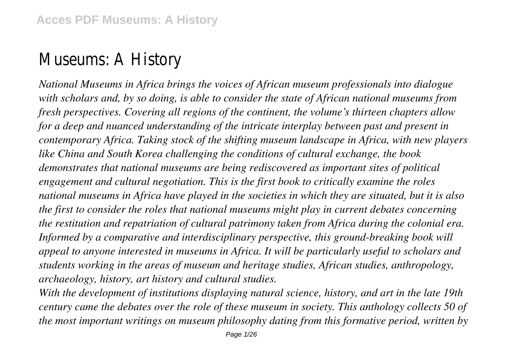# Museums: A Histor

*National Museums in Africa brings the voices of African museum professionals into dialogue with scholars and, by so doing, is able to consider the state of African national museums from fresh perspectives. Covering all regions of the continent, the volume's thirteen chapters allow for a deep and nuanced understanding of the intricate interplay between past and present in contemporary Africa. Taking stock of the shifting museum landscape in Africa, with new players like China and South Korea challenging the conditions of cultural exchange, the book demonstrates that national museums are being rediscovered as important sites of political engagement and cultural negotiation. This is the first book to critically examine the roles national museums in Africa have played in the societies in which they are situated, but it is also the first to consider the roles that national museums might play in current debates concerning the restitution and repatriation of cultural patrimony taken from Africa during the colonial era.* Informed by a comparative and interdisciplinary perspective, this ground-breaking book will *appeal to anyone interested in museums in Africa. It will be particularly useful to scholars and students working in the areas of museum and heritage studies, African studies, anthropology, archaeology, history, art history and cultural studies.*

*With the development of institutions displaying natural science, history, and art in the late 19th century came the debates over the role of these museum in society. This anthology collects 50 of the most important writings on museum philosophy dating from this formative period, written by*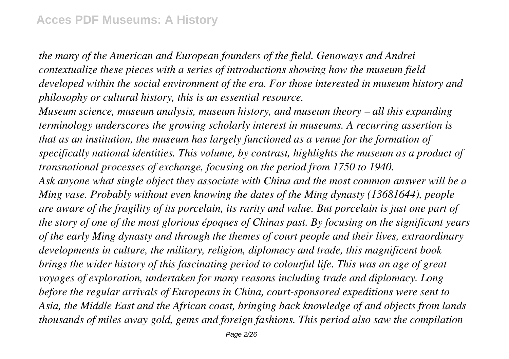*the many of the American and European founders of the field. Genoways and Andrei contextualize these pieces with a series of introductions showing how the museum field developed within the social environment of the era. For those interested in museum history and philosophy or cultural history, this is an essential resource.*

*Museum science, museum analysis, museum history, and museum theory – all this expanding terminology underscores the growing scholarly interest in museums. A recurring assertion is that as an institution, the museum has largely functioned as a venue for the formation of specifically national identities. This volume, by contrast, highlights the museum as a product of transnational processes of exchange, focusing on the period from 1750 to 1940.*

*Ask anyone what single object they associate with China and the most common answer will be a Ming vase. Probably without even knowing the dates of the Ming dynasty (13681644), people are aware of the fragility of its porcelain, its rarity and value. But porcelain is just one part of the story of one of the most glorious époques of Chinas past. By focusing on the significant years of the early Ming dynasty and through the themes of court people and their lives, extraordinary developments in culture, the military, religion, diplomacy and trade, this magnificent book brings the wider history of this fascinating period to colourful life. This was an age of great voyages of exploration, undertaken for many reasons including trade and diplomacy. Long before the regular arrivals of Europeans in China, court-sponsored expeditions were sent to Asia, the Middle East and the African coast, bringing back knowledge of and objects from lands thousands of miles away gold, gems and foreign fashions. This period also saw the compilation*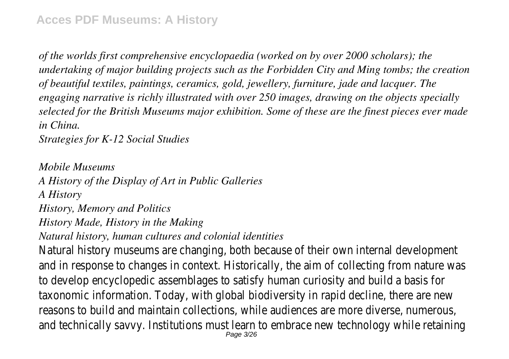*of the worlds first comprehensive encyclopaedia (worked on by over 2000 scholars); the undertaking of major building projects such as the Forbidden City and Ming tombs; the creation of beautiful textiles, paintings, ceramics, gold, jewellery, furniture, jade and lacquer. The engaging narrative is richly illustrated with over 250 images, drawing on the objects specially selected for the British Museums major exhibition. Some of these are the finest pieces ever made in China.*

and technically savvy. Institutions must learn to embrace new technology while

Page 3/26

*Strategies for K-12 Social Studies*

*Mobile Museums A History of the Display of Art in Public Galleries A History History, Memory and Politics History Made, History in the Making Natural history, human cultures and colonial identities* Natural history museums are changing, both because of their own internal development and in response to changes in context. Historically, the aim of collecting from i to develop encyclopedic assemblages to satisfy human curiosity and build a base taxonomic information. Today, with global biodiversity in rapid decline, there are reasons to build and maintain collections, while audiences are more diverse, nu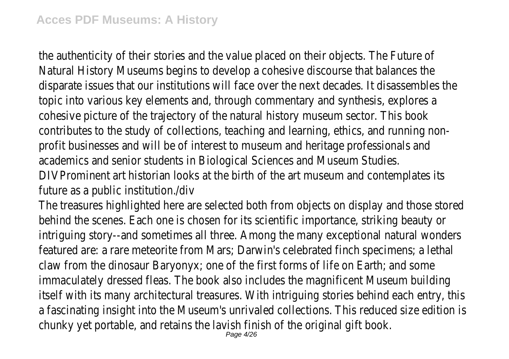the authenticity of their stories and the value placed on their objects. The Future Natural History Museums begins to develop a cohesive discourse that balances disparate issues that our institutions will face over the next decades. It disass topic into various key elements and, through commentary and synthesis, explo cohesive picture of the trajectory of the natural history museum sector. This contributes to the study of collections, teaching and learning, ethics, and runn profit businesses and will be of interest to museum and heritage professionals academics and senior students in Biological Sciences and Museum Stu DIVProminent art historian looks at the birth of the art museum and contemplate

future as a public institution./do

The treasures highlighted here are selected both from objects on display and the behind the scenes. Each one is chosen for its scientific importance, striking be intriguing story--and sometimes all three. Among the many exceptional natural featured are: a rare meteorite from Mars; Darwin's celebrated finch specimens claw from the dinosaur Baryonyx; one of the first forms of life on Earth; and some immaculately dressed fleas. The book also includes the magnificent Museum but itself with its many architectural treasures. With intriguing stories behind each a fascinating insight into the Museum's unrivaled collections. This reduced size chunky yet portable, and retains the lavish finish of the original gift book.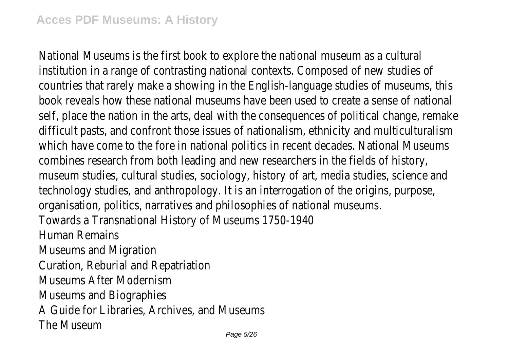National Museums is the first book to explore the national museum as a cultural institution in a range of contrasting national contexts. Composed of new studi countries that rarely make a showing in the English-language studies of museum book reveals how these national museums have been used to create a sense of self, place the nation in the arts, deal with the consequences of political change difficult pasts, and confront those issues of nationalism, ethnicity and multicul which have come to the fore in national politics in recent decades. National Museums combines research from both leading and new researchers in the fields of his museum studies, cultural studies, sociology, history of art, media studies, science technology studies, and anthropology. It is an interrogation of the origins, purpose, organisation, politics, narratives and philosophies of national museum. Towards a Transnational History of Museums 1750-19 Human Remains Museums and Migratio Curation, Reburial and Repatriation Museums After Modernis Museums and Biographie A Guide for Libraries, Archives, and Museum The Museum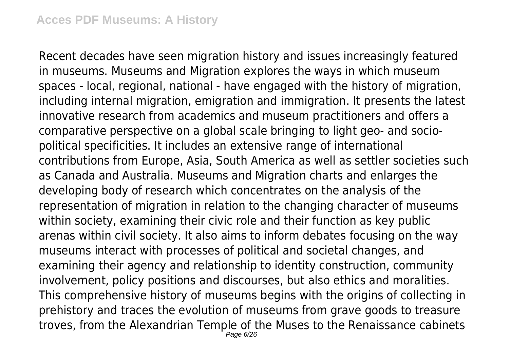Recent decades have seen migration history and issues increasingly featured in museums. Museums and Migration explores the ways in which museum spaces - local, regional, national - have engaged with the history of migration, including internal migration, emigration and immigration. It presents the latest innovative research from academics and museum practitioners and offers a comparative perspective on a global scale bringing to light geo- and sociopolitical specificities. It includes an extensive range of international contributions from Europe, Asia, South America as well as settler societies such as Canada and Australia. Museums and Migration charts and enlarges the developing body of research which concentrates on the analysis of the representation of migration in relation to the changing character of museums within society, examining their civic role and their function as key public arenas within civil society. It also aims to inform debates focusing on the way museums interact with processes of political and societal changes, and examining their agency and relationship to identity construction, community involvement, policy positions and discourses, but also ethics and moralities. This comprehensive history of museums begins with the origins of collecting in prehistory and traces the evolution of museums from grave goods to treasure troves, from the Alexandrian Temple of the Muses to the Renaissance cabinets Page 6/26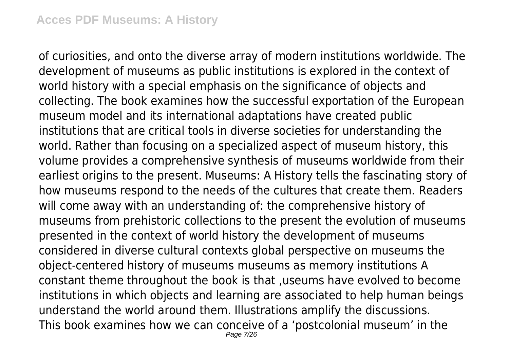of curiosities, and onto the diverse array of modern institutions worldwide. The development of museums as public institutions is explored in the context of world history with a special emphasis on the significance of objects and collecting. The book examines how the successful exportation of the European museum model and its international adaptations have created public institutions that are critical tools in diverse societies for understanding the world. Rather than focusing on a specialized aspect of museum history, this volume provides a comprehensive synthesis of museums worldwide from their earliest origins to the present. Museums: A History tells the fascinating story of how museums respond to the needs of the cultures that create them. Readers will come away with an understanding of: the comprehensive history of museums from prehistoric collections to the present the evolution of museums presented in the context of world history the development of museums considered in diverse cultural contexts global perspective on museums the object-centered history of museums museums as memory institutions A constant theme throughout the book is that ,useums have evolved to become institutions in which objects and learning are associated to help human beings understand the world around them. Illustrations amplify the discussions. This book examines how we can conceive of a 'postcolonial museum' in the Page 7/26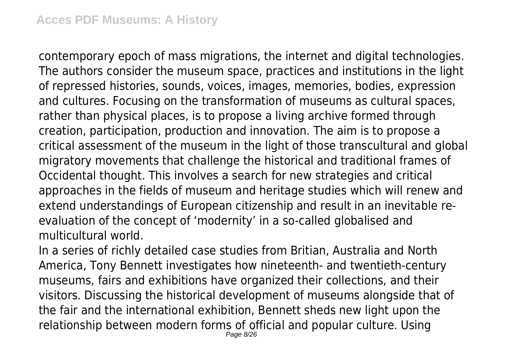contemporary epoch of mass migrations, the internet and digital technologies. The authors consider the museum space, practices and institutions in the light of repressed histories, sounds, voices, images, memories, bodies, expression and cultures. Focusing on the transformation of museums as cultural spaces, rather than physical places, is to propose a living archive formed through creation, participation, production and innovation. The aim is to propose a critical assessment of the museum in the light of those transcultural and global migratory movements that challenge the historical and traditional frames of Occidental thought. This involves a search for new strategies and critical approaches in the fields of museum and heritage studies which will renew and extend understandings of European citizenship and result in an inevitable reevaluation of the concept of 'modernity' in a so-called globalised and multicultural world.

In a series of richly detailed case studies from Britian, Australia and North America, Tony Bennett investigates how nineteenth- and twentieth-century museums, fairs and exhibitions have organized their collections, and their visitors. Discussing the historical development of museums alongside that of the fair and the international exhibition, Bennett sheds new light upon the relationship between modern forms of official and popular culture. Using Page 8/26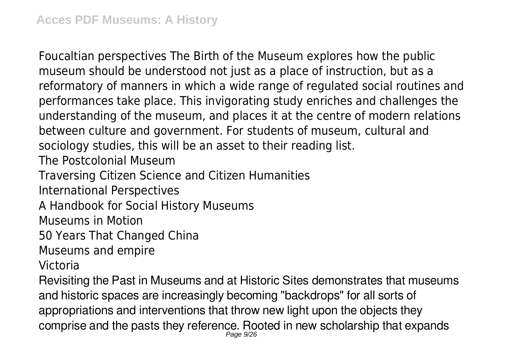Foucaltian perspectives The Birth of the Museum explores how the public museum should be understood not just as a place of instruction, but as a reformatory of manners in which a wide range of regulated social routines and performances take place. This invigorating study enriches and challenges the understanding of the museum, and places it at the centre of modern relations between culture and government. For students of museum, cultural and sociology studies, this will be an asset to their reading list. The Postcolonial Museum Traversing Citizen Science and Citizen Humanities International Perspectives A Handbook for Social History Museums

Museums in Motion

50 Years That Changed China

Museums and empire

Victoria

Revisiting the Past in Museums and at Historic Sites demonstrates that museums and historic spaces are increasingly becoming "backdrops" for all sorts of appropriations and interventions that throw new light upon the objects they comprise and the pasts they reference. Rooted in new scholarship that expands Page 9/26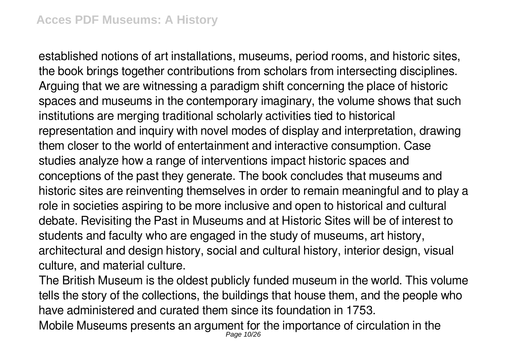established notions of art installations, museums, period rooms, and historic sites, the book brings together contributions from scholars from intersecting disciplines. Arguing that we are witnessing a paradigm shift concerning the place of historic spaces and museums in the contemporary imaginary, the volume shows that such institutions are merging traditional scholarly activities tied to historical representation and inquiry with novel modes of display and interpretation, drawing them closer to the world of entertainment and interactive consumption. Case studies analyze how a range of interventions impact historic spaces and conceptions of the past they generate. The book concludes that museums and historic sites are reinventing themselves in order to remain meaningful and to play a role in societies aspiring to be more inclusive and open to historical and cultural debate. Revisiting the Past in Museums and at Historic Sites will be of interest to students and faculty who are engaged in the study of museums, art history, architectural and design history, social and cultural history, interior design, visual culture, and material culture.

The British Museum is the oldest publicly funded museum in the world. This volume tells the story of the collections, the buildings that house them, and the people who have administered and curated them since its foundation in 1753.

Mobile Museums presents an argument for the importance of circulation in the Page 10/26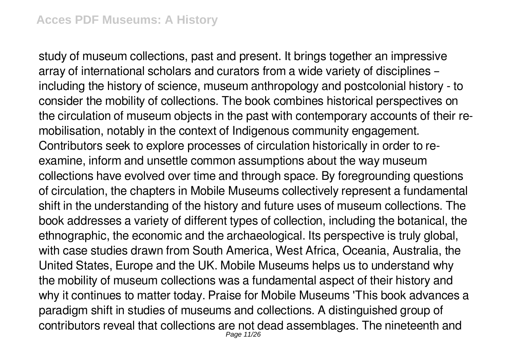study of museum collections, past and present. It brings together an impressive array of international scholars and curators from a wide variety of disciplines – including the history of science, museum anthropology and postcolonial history - to consider the mobility of collections. The book combines historical perspectives on the circulation of museum objects in the past with contemporary accounts of their remobilisation, notably in the context of Indigenous community engagement. Contributors seek to explore processes of circulation historically in order to reexamine, inform and unsettle common assumptions about the way museum collections have evolved over time and through space. By foregrounding questions of circulation, the chapters in Mobile Museums collectively represent a fundamental shift in the understanding of the history and future uses of museum collections. The book addresses a variety of different types of collection, including the botanical, the ethnographic, the economic and the archaeological. Its perspective is truly global, with case studies drawn from South America, West Africa, Oceania, Australia, the United States, Europe and the UK. Mobile Museums helps us to understand why the mobility of museum collections was a fundamental aspect of their history and why it continues to matter today. Praise for Mobile Museums 'This book advances a paradigm shift in studies of museums and collections. A distinguished group of contributors reveal that collections are not dead assemblages. The nineteenth and Page 11/26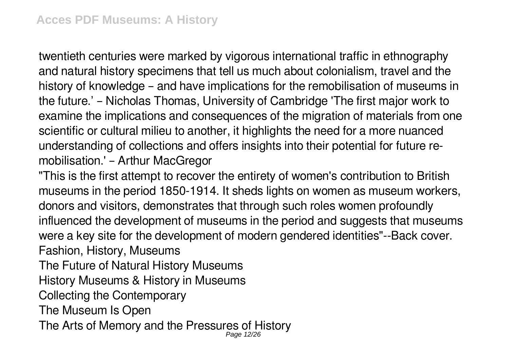twentieth centuries were marked by vigorous international traffic in ethnography and natural history specimens that tell us much about colonialism, travel and the history of knowledge – and have implications for the remobilisation of museums in the future.' – Nicholas Thomas, University of Cambridge 'The first major work to examine the implications and consequences of the migration of materials from one scientific or cultural milieu to another, it highlights the need for a more nuanced understanding of collections and offers insights into their potential for future remobilisation.' – Arthur MacGregor

"This is the first attempt to recover the entirety of women's contribution to British museums in the period 1850-1914. It sheds lights on women as museum workers, donors and visitors, demonstrates that through such roles women profoundly influenced the development of museums in the period and suggests that museums were a key site for the development of modern gendered identities"--Back cover. Fashion, History, Museums

The Future of Natural History Museums

History Museums & History in Museums

Collecting the Contemporary

The Museum Is Open

The Arts of Memory and the Pressures of History Page 12/26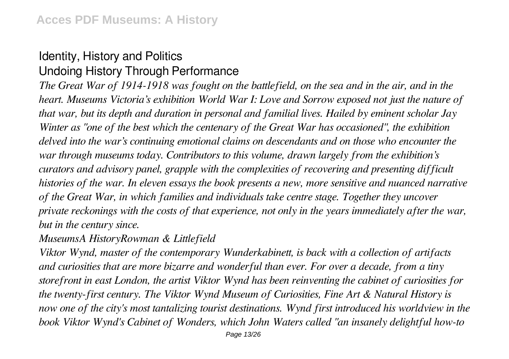### Identity, History and Politics Undoing History Through Performance

*The Great War of 1914-1918 was fought on the battlefield, on the sea and in the air, and in the heart. Museums Victoria's exhibition World War I: Love and Sorrow exposed not just the nature of that war, but its depth and duration in personal and familial lives. Hailed by eminent scholar Jay Winter as "one of the best which the centenary of the Great War has occasioned", the exhibition delved into the war's continuing emotional claims on descendants and on those who encounter the war through museums today. Contributors to this volume, drawn largely from the exhibition's curators and advisory panel, grapple with the complexities of recovering and presenting difficult histories of the war. In eleven essays the book presents a new, more sensitive and nuanced narrative of the Great War, in which families and individuals take centre stage. Together they uncover private reckonings with the costs of that experience, not only in the years immediately after the war, but in the century since.*

#### *MuseumsA HistoryRowman & Littlefield*

*Viktor Wynd, master of the contemporary Wunderkabinett, is back with a collection of artifacts and curiosities that are more bizarre and wonderful than ever. For over a decade, from a tiny storefront in east London, the artist Viktor Wynd has been reinventing the cabinet of curiosities for the twenty-first century. The Viktor Wynd Museum of Curiosities, Fine Art & Natural History is now one of the city's most tantalizing tourist destinations. Wynd first introduced his worldview in the book Viktor Wynd's Cabinet of Wonders, which John Waters called "an insanely delightful how-to*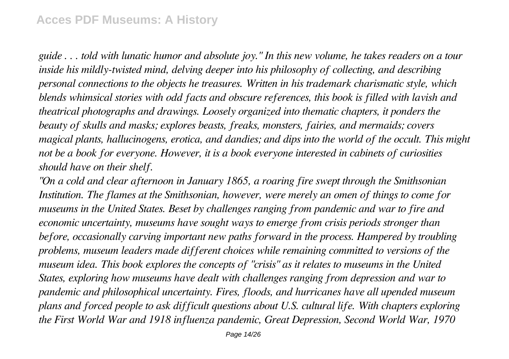#### **Acces PDF Museums: A History**

*guide . . . told with lunatic humor and absolute joy." In this new volume, he takes readers on a tour inside his mildly-twisted mind, delving deeper into his philosophy of collecting, and describing personal connections to the objects he treasures. Written in his trademark charismatic style, which blends whimsical stories with odd facts and obscure references, this book is filled with lavish and theatrical photographs and drawings. Loosely organized into thematic chapters, it ponders the beauty of skulls and masks; explores beasts, freaks, monsters, fairies, and mermaids; covers magical plants, hallucinogens, erotica, and dandies; and dips into the world of the occult. This might not be a book for everyone. However, it is a book everyone interested in cabinets of curiosities should have on their shelf.*

*"On a cold and clear afternoon in January 1865, a roaring fire swept through the Smithsonian Institution. The flames at the Smithsonian, however, were merely an omen of things to come for museums in the United States. Beset by challenges ranging from pandemic and war to fire and economic uncertainty, museums have sought ways to emerge from crisis periods stronger than before, occasionally carving important new paths forward in the process. Hampered by troubling problems, museum leaders made different choices while remaining committed to versions of the museum idea. This book explores the concepts of "crisis" as it relates to museums in the United States, exploring how museums have dealt with challenges ranging from depression and war to pandemic and philosophical uncertainty. Fires, floods, and hurricanes have all upended museum plans and forced people to ask difficult questions about U.S. cultural life. With chapters exploring the First World War and 1918 influenza pandemic, Great Depression, Second World War, 1970*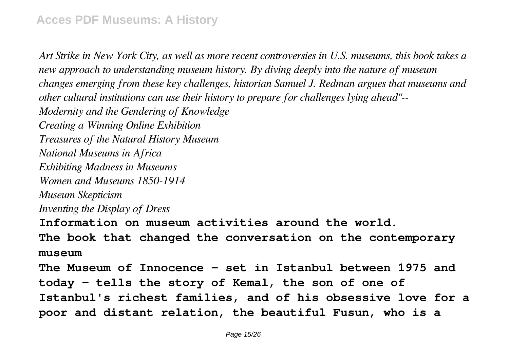*Art Strike in New York City, as well as more recent controversies in U.S. museums, this book takes a new approach to understanding museum history. By diving deeply into the nature of museum changes emerging from these key challenges, historian Samuel J. Redman argues that museums and other cultural institutions can use their history to prepare for challenges lying ahead"-- Modernity and the Gendering of Knowledge Creating a Winning Online Exhibition Treasures of the Natural History Museum National Museums in Africa Exhibiting Madness in Museums Women and Museums 1850-1914 Museum Skepticism Inventing the Display of Dress* **Information on museum activities around the world. The book that changed the conversation on the contemporary museum The Museum of Innocence - set in Istanbul between 1975 and today - tells the story of Kemal, the son of one of Istanbul's richest families, and of his obsessive love for a poor and distant relation, the beautiful Fusun, who is a**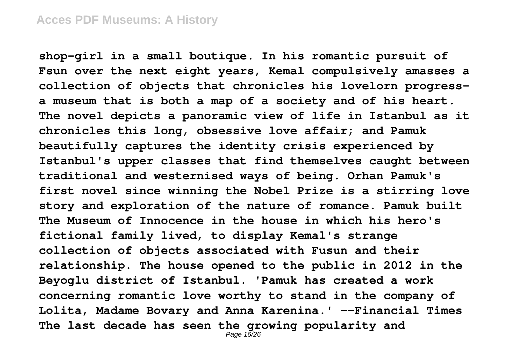**shop-girl in a small boutique. In his romantic pursuit of Fsun over the next eight years, Kemal compulsively amasses a collection of objects that chronicles his lovelorn progressa museum that is both a map of a society and of his heart. The novel depicts a panoramic view of life in Istanbul as it chronicles this long, obsessive love affair; and Pamuk beautifully captures the identity crisis experienced by Istanbul's upper classes that find themselves caught between traditional and westernised ways of being. Orhan Pamuk's first novel since winning the Nobel Prize is a stirring love story and exploration of the nature of romance. Pamuk built The Museum of Innocence in the house in which his hero's fictional family lived, to display Kemal's strange collection of objects associated with Fusun and their relationship. The house opened to the public in 2012 in the Beyoglu district of Istanbul. 'Pamuk has created a work concerning romantic love worthy to stand in the company of Lolita, Madame Bovary and Anna Karenina.' --Financial Times The last decade has seen the growing popularity and** Page 16/26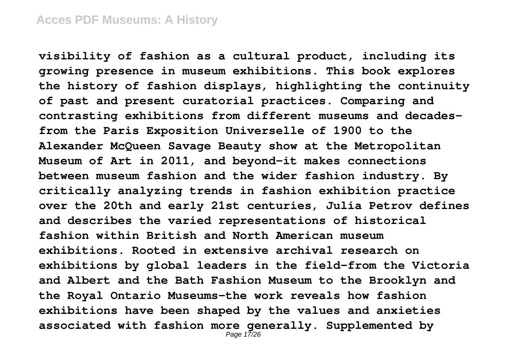**visibility of fashion as a cultural product, including its growing presence in museum exhibitions. This book explores the history of fashion displays, highlighting the continuity of past and present curatorial practices. Comparing and contrasting exhibitions from different museums and decadesfrom the Paris Exposition Universelle of 1900 to the Alexander McQueen Savage Beauty show at the Metropolitan Museum of Art in 2011, and beyond-it makes connections between museum fashion and the wider fashion industry. By critically analyzing trends in fashion exhibition practice over the 20th and early 21st centuries, Julia Petrov defines and describes the varied representations of historical fashion within British and North American museum exhibitions. Rooted in extensive archival research on exhibitions by global leaders in the field-from the Victoria and Albert and the Bath Fashion Museum to the Brooklyn and the Royal Ontario Museums-the work reveals how fashion exhibitions have been shaped by the values and anxieties associated with fashion more generally. Supplemented by** Page 17/26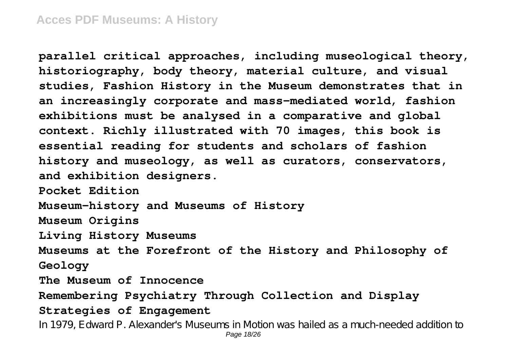**parallel critical approaches, including museological theory, historiography, body theory, material culture, and visual studies, Fashion History in the Museum demonstrates that in an increasingly corporate and mass-mediated world, fashion exhibitions must be analysed in a comparative and global context. Richly illustrated with 70 images, this book is essential reading for students and scholars of fashion history and museology, as well as curators, conservators, and exhibition designers. Pocket Edition Museum-history and Museums of History Museum Origins Living History Museums Museums at the Forefront of the History and Philosophy of Geology The Museum of Innocence Remembering Psychiatry Through Collection and Display Strategies of Engagement**

In 1979, Edward P. Alexander's Museums in Motion was hailed as a much-needed addition to Page 18/26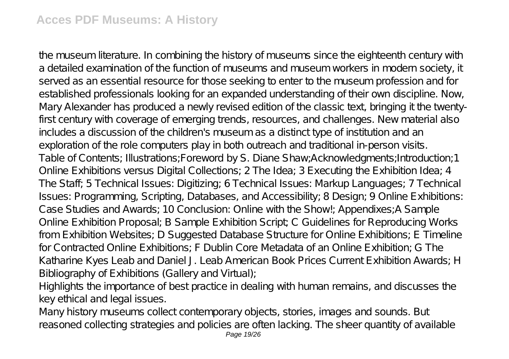the museum literature. In combining the history of museums since the eighteenth century with a detailed examination of the function of museums and museum workers in modern society, it served as an essential resource for those seeking to enter to the museum profession and for established professionals looking for an expanded understanding of their own discipline. Now, Mary Alexander has produced a newly revised edition of the classic text, bringing it the twentyfirst century with coverage of emerging trends, resources, and challenges. New material also includes a discussion of the children's museum as a distinct type of institution and an exploration of the role computers play in both outreach and traditional in-person visits. Table of Contents; Illustrations;Foreword by S. Diane Shaw;Acknowledgments;Introduction;1 Online Exhibitions versus Digital Collections; 2 The Idea; 3 Executing the Exhibition Idea; 4 The Staff; 5 Technical Issues: Digitizing; 6 Technical Issues: Markup Languages; 7 Technical Issues: Programming, Scripting, Databases, and Accessibility; 8 Design; 9 Online Exhibitions: Case Studies and Awards; 10 Conclusion: Online with the Show!; Appendixes;A Sample Online Exhibition Proposal; B Sample Exhibition Script; C Guidelines for Reproducing Works from Exhibition Websites; D Suggested Database Structure for Online Exhibitions; E Timeline for Contracted Online Exhibitions; F Dublin Core Metadata of an Online Exhibition; G The Katharine Kyes Leab and Daniel J. Leab American Book Prices Current Exhibition Awards; H Bibliography of Exhibitions (Gallery and Virtual);

Highlights the importance of best practice in dealing with human remains, and discusses the key ethical and legal issues.

Many history museums collect contemporary objects, stories, images and sounds. But reasoned collecting strategies and policies are often lacking. The sheer quantity of available Page 19/26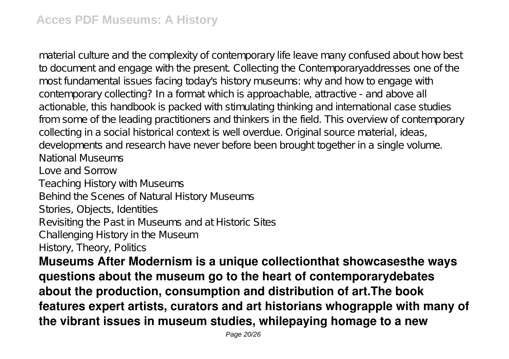material culture and the complexity of contemporary life leave many confused about how best to document and engage with the present. Collecting the Contemporaryaddresses one of the most fundamental issues facing today's history museums: why and how to engage with contemporary collecting? In a format which is approachable, attractive - and above all actionable, this handbook is packed with stimulating thinking and international case studies from some of the leading practitioners and thinkers in the field. This overview of contemporary collecting in a social historical context is well overdue. Original source material, ideas, developments and research have never before been brought together in a single volume. National Museums Love and Sorrow Teaching History with Museums Behind the Scenes of Natural History Museums Stories, Objects, Identities Revisiting the Past in Museums and at Historic Sites Challenging History in the Museum History, Theory, Politics

**Museums After Modernism is a unique collectionthat showcasesthe ways questions about the museum go to the heart of contemporarydebates about the production, consumption and distribution of art.The book features expert artists, curators and art historians whograpple with many of the vibrant issues in museum studies, whilepaying homage to a new**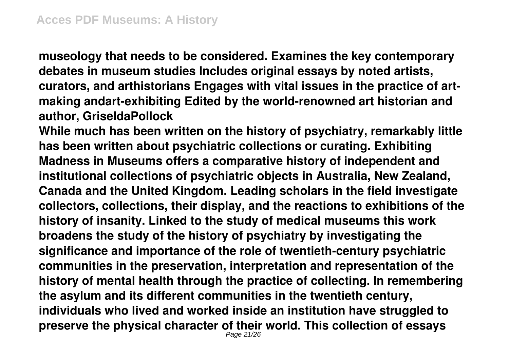**museology that needs to be considered. Examines the key contemporary debates in museum studies Includes original essays by noted artists, curators, and arthistorians Engages with vital issues in the practice of artmaking andart-exhibiting Edited by the world-renowned art historian and author, GriseldaPollock**

**While much has been written on the history of psychiatry, remarkably little has been written about psychiatric collections or curating. Exhibiting Madness in Museums offers a comparative history of independent and institutional collections of psychiatric objects in Australia, New Zealand, Canada and the United Kingdom. Leading scholars in the field investigate collectors, collections, their display, and the reactions to exhibitions of the history of insanity. Linked to the study of medical museums this work broadens the study of the history of psychiatry by investigating the significance and importance of the role of twentieth-century psychiatric communities in the preservation, interpretation and representation of the history of mental health through the practice of collecting. In remembering the asylum and its different communities in the twentieth century, individuals who lived and worked inside an institution have struggled to preserve the physical character of their world. This collection of essays** Page 21/26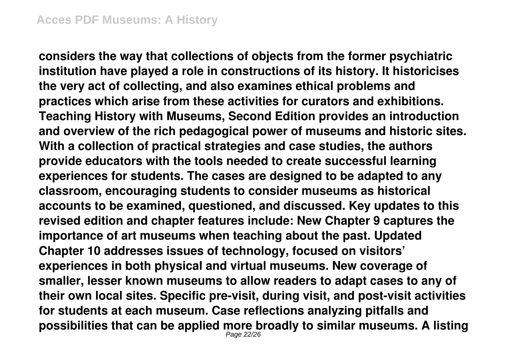**considers the way that collections of objects from the former psychiatric institution have played a role in constructions of its history. It historicises the very act of collecting, and also examines ethical problems and practices which arise from these activities for curators and exhibitions. Teaching History with Museums, Second Edition provides an introduction and overview of the rich pedagogical power of museums and historic sites. With a collection of practical strategies and case studies, the authors provide educators with the tools needed to create successful learning experiences for students. The cases are designed to be adapted to any classroom, encouraging students to consider museums as historical accounts to be examined, questioned, and discussed. Key updates to this revised edition and chapter features include: New Chapter 9 captures the importance of art museums when teaching about the past. Updated Chapter 10 addresses issues of technology, focused on visitors' experiences in both physical and virtual museums. New coverage of smaller, lesser known museums to allow readers to adapt cases to any of their own local sites. Specific pre-visit, during visit, and post-visit activities for students at each museum. Case reflections analyzing pitfalls and possibilities that can be applied more broadly to similar museums. A listing** Page 22/26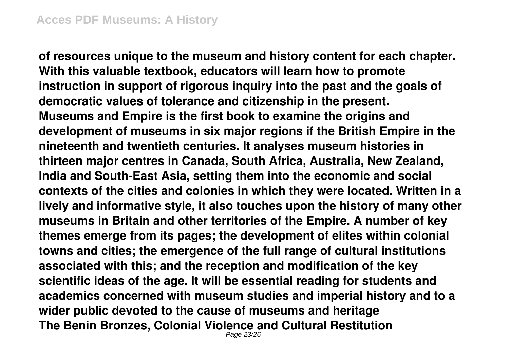**of resources unique to the museum and history content for each chapter. With this valuable textbook, educators will learn how to promote instruction in support of rigorous inquiry into the past and the goals of democratic values of tolerance and citizenship in the present. Museums and Empire is the first book to examine the origins and development of museums in six major regions if the British Empire in the nineteenth and twentieth centuries. It analyses museum histories in thirteen major centres in Canada, South Africa, Australia, New Zealand, India and South-East Asia, setting them into the economic and social contexts of the cities and colonies in which they were located. Written in a lively and informative style, it also touches upon the history of many other museums in Britain and other territories of the Empire. A number of key themes emerge from its pages; the development of elites within colonial towns and cities; the emergence of the full range of cultural institutions associated with this; and the reception and modification of the key scientific ideas of the age. It will be essential reading for students and academics concerned with museum studies and imperial history and to a wider public devoted to the cause of museums and heritage The Benin Bronzes, Colonial Violence and Cultural Restitution** Page 23/26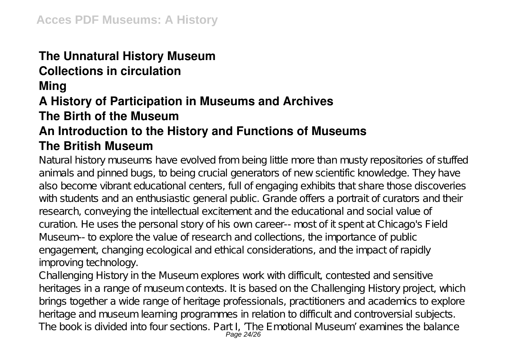## **The Unnatural History Museum**

### **Collections in circulation**

#### **Ming**

## **A History of Participation in Museums and Archives**

### **The Birth of the Museum**

## **An Introduction to the History and Functions of Museums The British Museum**

Natural history museums have evolved from being little more than musty repositories of stuffed animals and pinned bugs, to being crucial generators of new scientific knowledge. They have also become vibrant educational centers, full of engaging exhibits that share those discoveries with students and an enthusiastic general public. Grande offers a portrait of curators and their research, conveying the intellectual excitement and the educational and social value of curation. He uses the personal story of his own career-- most of it spent at Chicago's Field Museum-- to explore the value of research and collections, the importance of public engagement, changing ecological and ethical considerations, and the impact of rapidly improving technology.

Challenging History in the Museum explores work with difficult, contested and sensitive heritages in a range of museum contexts. It is based on the Challenging History project, which brings together a wide range of heritage professionals, practitioners and academics to explore heritage and museum learning programmes in relation to difficult and controversial subjects. The book is divided into four sections. Part I, 'The Emotional Museum' examines the balance Page 24/26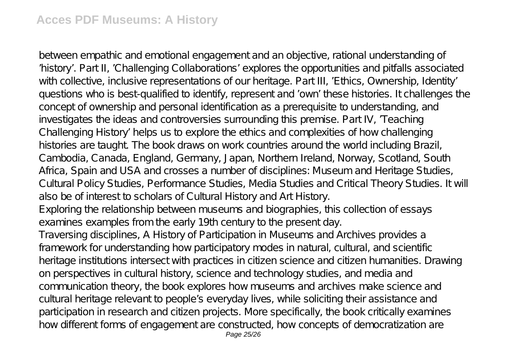between empathic and emotional engagement and an objective, rational understanding of 'history'. Part II, 'Challenging Collaborations' explores the opportunities and pitfalls associated with collective, inclusive representations of our heritage. Part III, 'E thics, Ownership, Identity' questions who is best-qualified to identify, represent and 'own' these histories. It challenges the concept of ownership and personal identification as a prerequisite to understanding, and investigates the ideas and controversies surrounding this premise. Part IV, 'Teaching Challenging History' helps us to explore the ethics and complexities of how challenging histories are taught. The book draws on work countries around the world including Brazil, Cambodia, Canada, England, Germany, Japan, Northern Ireland, Norway, Scotland, South Africa, Spain and USA and crosses a number of disciplines: Museum and Heritage Studies, Cultural Policy Studies, Performance Studies, Media Studies and Critical Theory Studies. It will also be of interest to scholars of Cultural History and Art History. Exploring the relationship between museums and biographies, this collection of essays examines examples from the early 19th century to the present day. Traversing disciplines, A History of Participation in Museums and Archives provides a framework for understanding how participatory modes in natural, cultural, and scientific heritage institutions intersect with practices in citizen science and citizen humanities. Drawing on perspectives in cultural history, science and technology studies, and media and communication theory, the book explores how museums and archives make science and cultural heritage relevant to people's everyday lives, while soliciting their assistance and participation in research and citizen projects. More specifically, the book critically examines how different forms of engagement are constructed, how concepts of democratization are Page 25/26